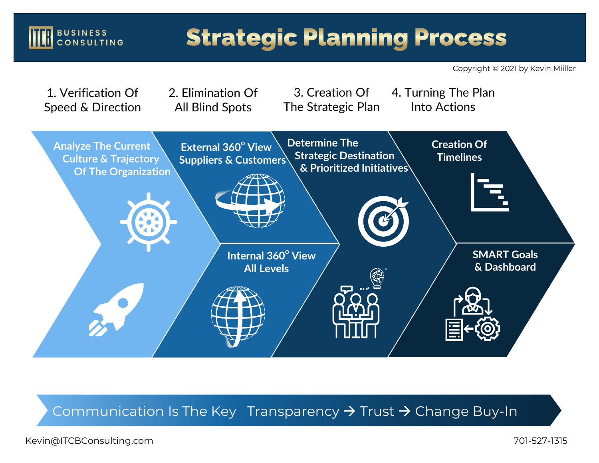### BUSINESS<br>CONSULTING

## **Strategic Planning Process**

Copyright © 2021 by Kevin Miiller



Communication Is The Key Transparency > Trust > Change Buy-In